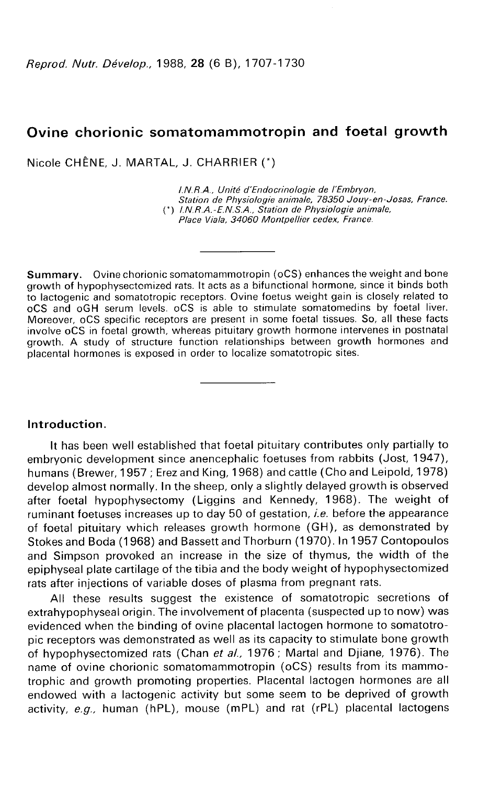# Ovine chorionic somatomammotropin and foetal growth

Nicole CHÊNE, J. MARTAL, J. CHARRIER

l.N.R.A., Unité d'Endocrinologie de l'Embryon, Station de Physiologie animale, 78350 Jouy-en-Josas, France. (') l.N.R.A.-E.N.S.A., Station de Physiologie animale, Place Viala, 34060 Montpellier cedex, France.

Summary. Ovine chorionic somatomammotropin (oCS) enhances the weight and bone growth of hypophysectomized rats. It acts as a bifunctional hormone, since it binds both to lactogenic and somatotropic receptors. Ovine foetus weight gain is closely related to oCS and oGH serum levels. oCS is able to stimulate somatomedins by foetal liver. Moreover, oCS specific receptors are present in some foetal tissues. So, all these facts involve oCS in foetal growth, whereas pituitary growth hormone intervenes in postnatal growth. A study of structure function relationships between growth hormones and placental hormones is exposed in order to localize somatotropic sites.

## Introduction.

It has been well established that foetal pituitary contributes only partially to embryonic development since anencephalic foetuses from rabbits (Jost, 1947), humans (Brewer, 1957 ; Erez and King, 1968) and cattle (Cho and Leipold, 1978) develop almost normally. In the sheep, only a slightly delayed growth is observed after foetal hypophysectomy (Liggins and Kennedy, 1968). The weight of ruminant foetuses increases up to day 50 of gestation, *i.e.* before the appearance of foetal pituitary which releases growth hormone (GH), as demonstrated by Stokes and Boda (1968) and Bassett and Thorburn (1970). In 1957 Contopoulos and Simpson provoked an increase in the size of thymus, the width of the epiphyseal plate cartilage of the tibia and the body weight of hypophysectomized rats after injections of variable doses of plasma from pregnant rats.

All these results suggest the existence of somatotropic secretions of extrahypophyseal origin. The involvement of placenta (suspected up to now) was evidenced when the binding of ovine placental lactogen hormone to somatotropic receptors was demonstrated as well as its capacity to stimulate bone growth of hypophysectomized rats (Chan et al., 1976; Martal and Djiane, 1976). The name of ovine chorionic somatomammotropin (oCS) results from its mammotrophic and growth promoting properties. Placental lactogen hormones are all endowed with a lactogenic activity but some seem to be deprived of growth activity,  $e.g.,$  human (hPL), mouse (mPL) and rat (rPL) placental lactogens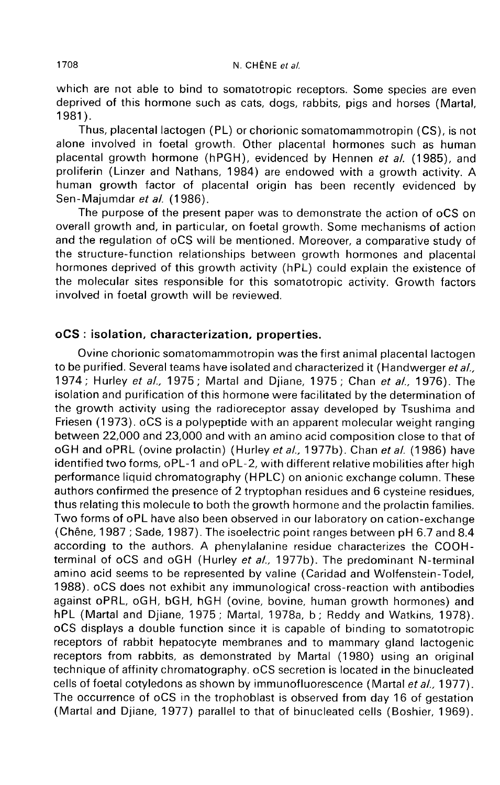which are not able to bind to somatotropic receptors. Some species are even deprived of this hormone such as cats, dogs, rabbits, pigs and horses (Martal, 1 981 ).

Thus, placental lactogen (PL) or chorionic somatomammotropin (CS), is not alone involved in foetal growth. Other placental hormones such as human placental growth hormone (hPGH), evidenced by Hennen et al. (1985), and proliferin (Linzer and Nathans, 1984) are endowed with a growth activity. A human growth factor of placental origin has been recently evidenced by Sen-Majumdar et al. (1986).

The purpose of the present paper was to demonstrate the action of oCS on overall growth and, in particular, on foetal growth. Some mechanisms of action and the regulation of oCS will be mentioned. Moreover, a comparative study of the structure-function relationships between growth hormones and placental hormones deprived of this growth activity (hPL) could explain the existence of the molecular sites responsible for this somatotropic activity. Growth factors involved in foetal growth will be reviewed.

# oCS : isolation, characterization, properties.

Ovine chorionic somatomammotropin was the first animal placental lactogen to be purified. Several teams have isolated and characterized it (Handwerger et al., 1974; Hurley et al., 1975; Martal and Djiane, 1975; Chan et al., 1976). The isolation and purification of this hormone were facilitated by the determination of the growth activity using the radioreceptor assay developed by Tsushima and Friesen (1973). oCS is a polypeptide with an apparent molecular weight ranging between 22,000 and 23,000 and with an amino acid composition close to that of oGH and oPRL (ovine prolactin) (Hurley et al., 1977b). Chan et al. (1986) have identified two forms, oPL-1 and oPL-2, with different relative mobilities after high performance liquid chromatography (HPLC) on anionic exchange column. These authors confirmed the presence of 2 tryptophan residues and 6 cysteine residues, thus relating this molecule to both the growth hormone and the prolactin families. Two forms of oPL have also been observed in our laboratory on cation-exchange (Chêne, 1987 ; Sade, 1987). The isoelectric point ranges between pH 6.7 and 8.4 according to the authors. A phenylalanine residue characterizes the COOHterminal of oCS and oGH (Hurley et al., 1977b). The predominant N-terminal amino acid seems to be represented by valine (Caridad and Wolfenstein-Todel, 1988). oCS does not exhibit any immunological cross-reaction with antibodies against oPRL, oGH, bGH, hGH (ovine, bovine, human growth hormones) and hPL (Martal and Djiane, 1975; Martal, 1978a, b; Reddy and Watkins, 1978). oCS displays a double function since it is capable of binding to somatotropic receptors of rabbit hepatocyte membranes and to mammary gland lactogenic receptors from rabbits, as demonstrated by Martal (1980) using an original technique of affinity chromatography. oCS secretion is located in the binucleated cells of foetal cotyledons as shown by immunofluorescence (Martal et al., 1977). The occurrence of oCS in the trophoblast is observed from day 16 of gestation (Martal and Djiane, 1977) parallel to that of binucleated cells (Boshier, 1969).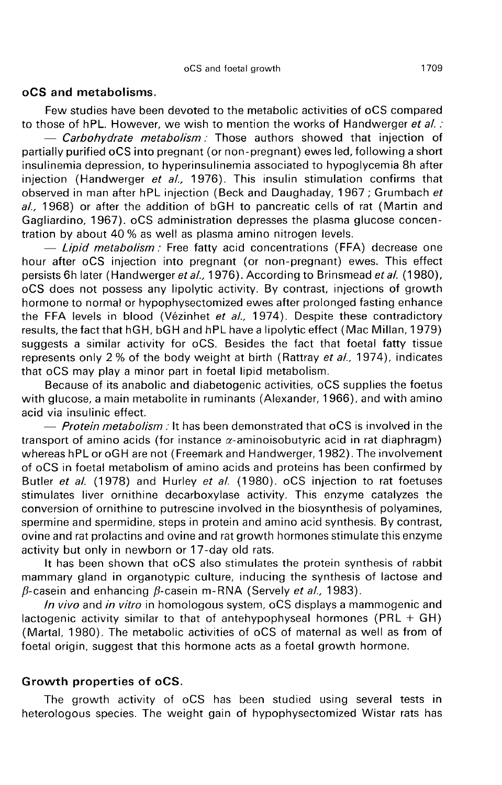#### oCS and metabolisms.

Few studies have been devoted to the metabolic activities of oCS compared to those of hPL. However, we wish to mention the works of Handwerger et al. :

 $-$  Carbohydrate metabolism: Those authors showed that injection of partially purified oCS into pregnant (or non-pregnant) ewes led, following a short insulinemia depression, to hyperinsulinemia associated to hypoglycemia 8h after injection (Handwerger et al., 1976). This insulin stimulation confirms that observed in man after hPL injection (Beck and Daughaday, 1967; Grumbach et al., 1968) or after the addition of bGH to pancreatic cells of rat (Martin and Gagliardino, 1967). oCS administration depresses the plasma glucose concentration by about 40 % as well as plasma amino nitrogen levels.

- Lipid metabolism: Free fatty acid concentrations (FFA) decrease one hour after oCS injection into pregnant (or non-pregnant) ewes. This effect persists 6h later (Handwerger et al., 1976). According to Brinsmead et al. (1980), oCS does not possess any lipolytic activity. By contrast, injections of growth hormone to normal or hypophysectomized ewes after prolonged fasting enhance the FFA levels in blood (Vézinhet et al., 1974). Despite these contradictory results, the fact that hGH, bGH and hPL have a lipolytic effect (Mac Millan, 1979) suggests a similar activity for oCS. Besides the fact that foetal fatty tissue represents only 2 % of the body weight at birth (Rattray et al., 1974), indicates that oCS may play a minor part in foetal lipid metabolism.

Because of its anabolic and diabetogenic activities, oCS supplies the foetus with glucose, a main metabolite in ruminants (Alexander, 1966), and with amino acid via insulinic effect.

 $-$  Protein metabolism : It has been demonstrated that oCS is involved in the transport of amino acids (for instance  $\alpha$ -aminoisobutyric acid in rat diaphragm) whereas hPL or oGH are not (Freemark and Handwerger, 1982). The involvement of oCS in foetal metabolism of amino acids and proteins has been confirmed by Butler et al. (1978) and Hurley et al. (1980). oCS injection to rat foetuses stimulates liver ornithine decarboxylase activity. This enzyme catalyzes the conversion of ornithine to putrescine involved in the biosynthesis of polyamines, spermine and spermidine, steps in protein and amino acid synthesis. By contrast, ovine and rat prolactins and ovine and rat growth hormones stimulate this enzyme activity but only in newborn or 17-day old rats.

It has been shown that oCS also stimulates the protein synthesis of rabbit mammary gland in organotypic culture, inducing the synthesis of lactose and  $\beta$ -casein and enhancing  $\beta$ -casein m-RNA (Servely et al., 1983).

In vivo and in vitro in homologous system, oCS displays a mammogenic and lactogenic activity similar to that of antehypophyseal hormones (PRL + GH) (Martal, 1980). The metabolic activities of oCS of maternal as well as from of foetal origin, suggest that this hormone acts as a foetal growth hormone.

### Growth properties of oCS.

The growth activity of oCS has been studied using several tests in heterologous species. The weight gain of hypophysectomized Wistar rats has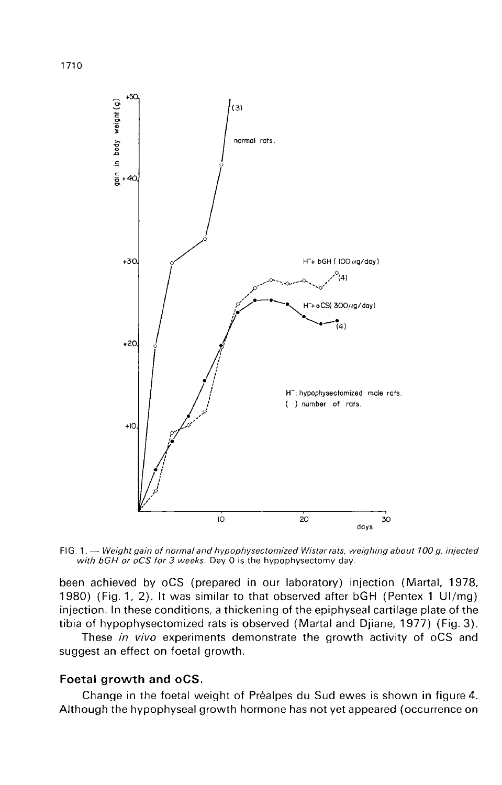

FIG. 1. - Weight gain of normal and hypophysectomized Wistar rats, weighing about 100 g, injected with bGH or oCS for 3 weeks. Day 0 is the hypophysectomy day.

been achieved by oCS (prepared in our laboratory) injection (Martal, 1978, 1980) (Fig. 1, 2). It was similar to that observed after bGH (Pentex 1 UI/mg) injection. In these conditions, a thickening of the epiphyseal cartilage plate of the tibia of hypophysectomized rats is observed (Martal and Djiane, 1977) (Fig. 3).

These in vivo experiments demonstrate the growth activity of oCS and suggest an effect on foetal growth.

# Foetal growth and oCS.

Change in the foetal weight of Préalpes du Sud ewes is shown in figure 4. Although the hypophyseal growth hormone has not yet appeared (occurrence on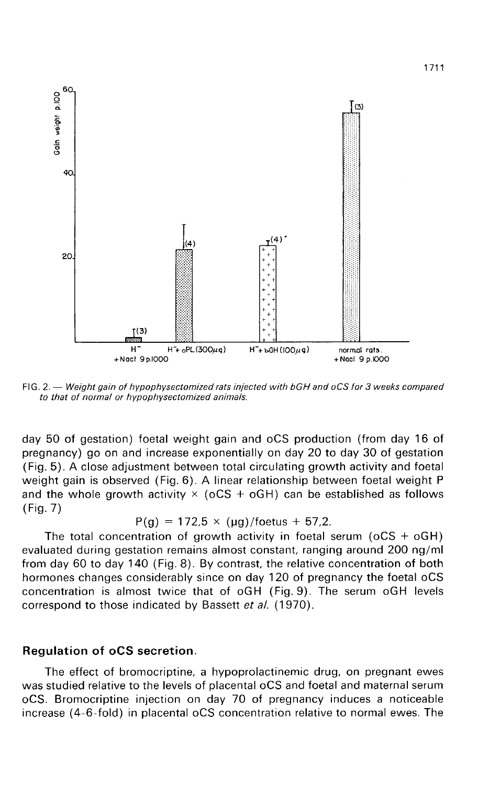

FIG. 2. - Weight gain of hypophysectomized rats injected with bGH and oCS for 3 weeks compared to that of normal or hypophysectomized animals.

day 50 of gestation) foetal weight gain and oCS production (from day 16 of pregnancy) go on and increase exponentially on day 20 to day 30 of gestation (Fig. 5). A close adjustment between total circulating growth activity and foetal weight gain is observed (Fig. 6). A linear relationship between foetal weight P and the whole growth activity  $\times$  (oCS + oGH) can be established as follows (Fig. 7)

$$
P(g) = 172.5 \times (\mu g) / \text{foetus} + 57.2.
$$

The total concentration of growth activity in foetal serum ( $oCS + oGH$ ) evaluated during gestation remains almost constant, ranging around 200 ng/ml from day 60 to day 140 (Fig. 8). By contrast, the relative concentration of both hormones changes considerably since on day 120 of pregnancy the foetal oCS concentration is almost twice that of oGH (Fig. 9). The serum oGH levels correspond to those indicated by Bassett et al. (1970).

## Regulation of oCS secretion.

The effect of bromocriptine, a hypoprolactinemic drug, on pregnant ewes was studied relative to the levels of placental oCS and foetal and maternal serum oCS. Bromocriptine injection on day 70 of pregnancy induces a noticeable increase (4-6-fold) in placental oCS concentration relative to normal ewes. The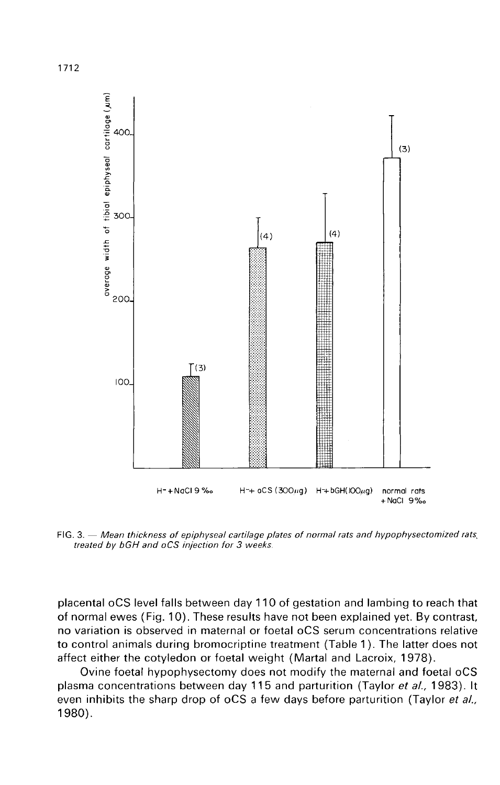

FIG. 3. - Mean thickness of epiphyseal cartilage plates of normal rats and hypophysectomized rats treated by bGH and oCS injection for 3 weeks.

placental oCS level falls between day 110 of gestation and lambing to reach that of normal ewes (Fig. 10). These results have not been explained yet. By contrast, no variation is observed in maternal or foetal oCS serum concentrations relative to control animals during bromocriptine treatment (Table 1 ). The latter does not affect either the cotyledon or foetal weight (Martal and Lacroix, 1978).

Ovine foetal hypophysectomy does not modify the maternal and foetal oCS plasma concentrations between day 115 and parturition (Taylor et al., 1983). It even inhibits the sharp drop of oCS a few days before parturition (Taylor et al., 1980).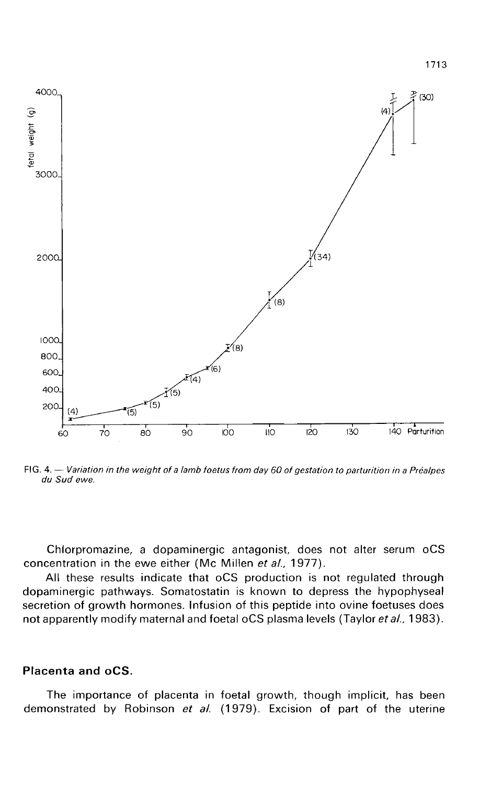

FIG. 4. - Variation in the weight of a lamb foetus from day 60 of gestation to parturition in a Préalpes du Sud ewe.

Chlorpromazine, a dopaminergic antagonist, does not alter serum oCS concentration in the ewe either (Mc Millen et al., 1977).

All these results indicate that oCS production is not regulated through dopaminergic pathways. Somatostatin is known to depress the hypophyseal secretion of growth hormones. Infusion of this peptide into ovine foetuses does not apparently modify maternal and foetal oCS plasma levels (Taylor et al., 1983).

# Placenta and oCS.

The importance of placenta in foetal growth, though implicit, has been demonstrated by Robinson et al.  $(1979)$ . Excision of part of the uterine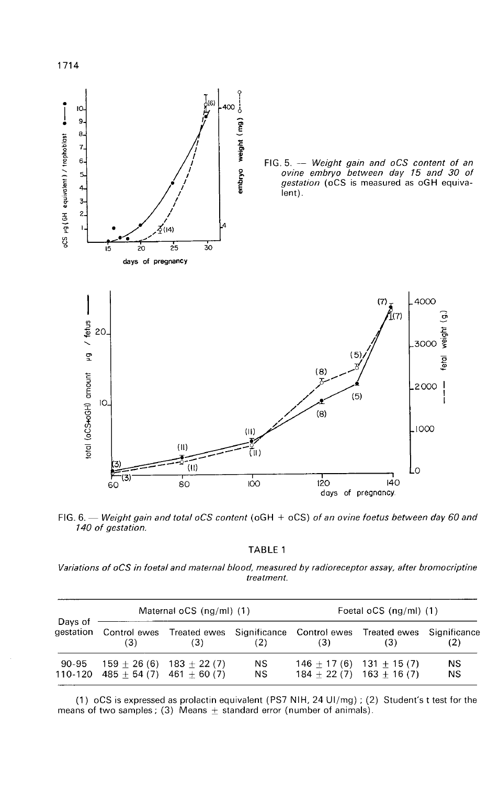

FIG. 6. — Weight gain and total oCS content (oGH  $+$  oCS) of an ovine foetus between day 60 and 140 of gestation.

TABLE 1

Variations of oCS in foetal and maternal blood, measured by radioreceptor assay, after bromocriptine treatment.

| Days of<br>aestation | Maternal $oCS$ (ng/ml) $(1)$                                       |                                                                         |                 | Foetal oCS (ng/ml) (1)    |                             |                     |
|----------------------|--------------------------------------------------------------------|-------------------------------------------------------------------------|-----------------|---------------------------|-----------------------------|---------------------|
|                      | (3)                                                                | Control ewes Treated ewes Significance Control ewes Treated ewes<br>(3) | (2)             | (3)                       | (3)                         | Significance<br>(2) |
| 90-95                | $159 + 26(6)$ 183 + 22(7)<br>$110-120$ $485 + 54(7)$ $461 + 60(7)$ |                                                                         | ΝS<br><b>NS</b> | $146 + 17(6)$ 131 + 15(7) | $184 + 22(7)$ $163 + 16(7)$ | NS<br>NS            |

(1) oCS is expressed as prolactin equivalent (PS7 NIH, 24 UI/mg); (2) Student's t test for the means of two samples; (3) Means  $\pm$  standard error (number of animals).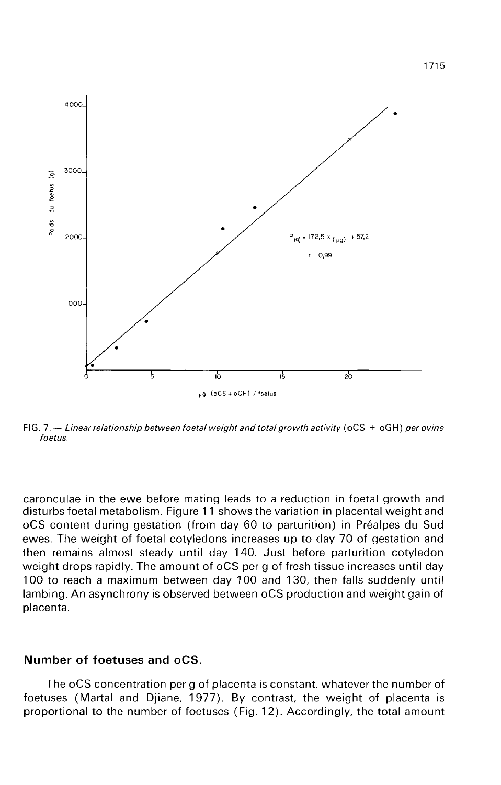

FIG. 7. -- Linear relationship between foetal weight and total growth activity ( $oCS + oGH$ ) per ovine foetus.

caronculae in the ewe before mating leads to a reduction in foetal growth and disturbs foetal metabolism. Figure 11 shows the variation in placental weight and oCS content during gestation (from day 60 to parturition) in Préalpes du Sud ewes. The weight of foetal cotyledons increases up to day 70 of gestation and then remains almost steady until day 140. Just before parturition cotyledon weight drops rapidly. The amount of oCS per g of fresh tissue increases until day 100 to reach a maximum between day 100 and 130, then falls suddenly until lambing. An asynchrony is observed between oCS production and weight gain of placenta.

### Number of foetuses and oCS.

The oCS concentration per g of placenta is constant, whatever the number of foetuses (Martal and Djiane, 1977). By contrast, the weight of placenta is proportional to the number of foetuses (Fig. 12). Accordingly, the total amount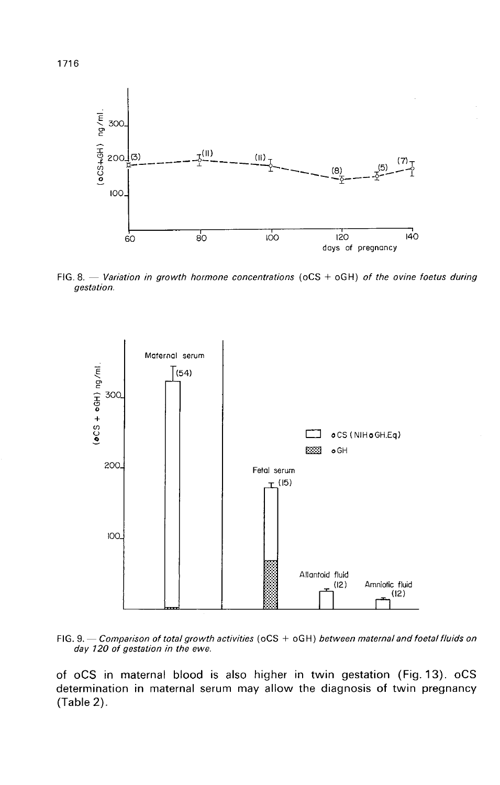

FIG. 8. - Variation in growth hormone concentrations ( $oCS + oGH$ ) of the ovine foetus during gestation.





of oCS in maternal blood is also higher in twin gestation (Fig. 13). oCS determination in maternal serum may allow the diagnosis of twin pregnancy (Table 2).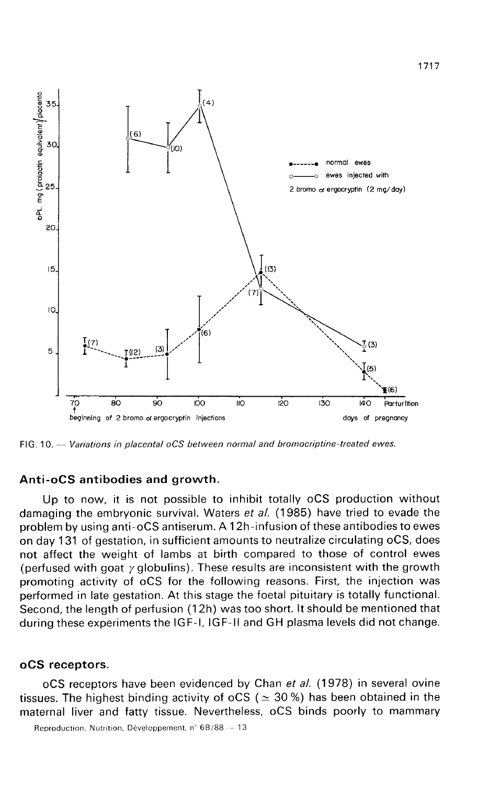

FIG. 10. - Variations in placental oCS between normal and bromocriptine-treated ewes.

## Anti-oCS antibodies and growth.

Up to now, it is not possible to inhibit totally oCS production without damaging the embryonic survival. Waters et al. (1985) have tried to evade the problem by using anti-oCS antiserum. A 12h-infusion of these antibodies to ewes on day 131 of gestation, in sufficient amounts to neutralize circulating oCS, does not affect the weight of lambs at birth compared to those of control ewes (perfused with goat  $\gamma$  globulins). These results are inconsistent with the growth promoting activity of oCS for the following reasons. First, the injection was performed in late gestation. At this stage the foetal pituitary is totally functional. Second, the length of perfusion (12h) was too short. It should be mentioned that during these experiments the IGF-I, IGF-II and GH plasma levels did not change.

#### oCS receptors.

oCS receptors have been evidenced by Chan et al. (1978) in several ovine tissues. The highest binding activity of oCS ( $\simeq$  30 %) has been obtained in the maternal liver and fatty tissue. Nevertheless, oCS binds poorly to mammary

Reproduction, Nutrition, Développement, n°  $6B/88 - 13$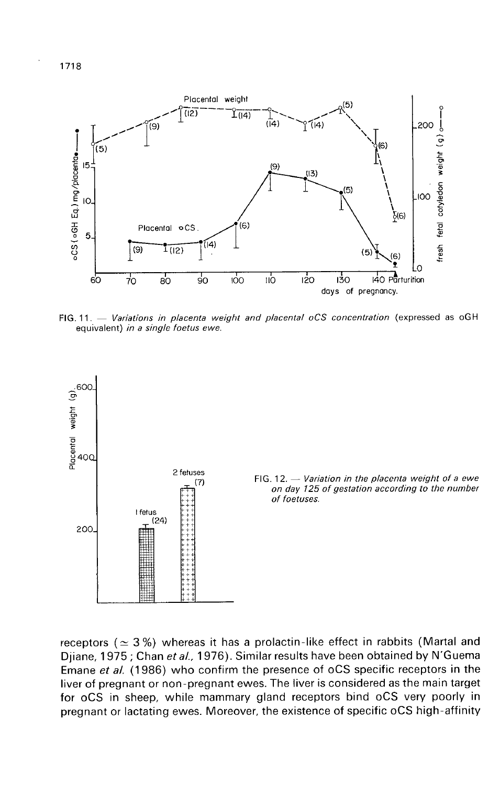

 $\overline{100}$ 

 $90$ 

FIG. 11. - Variations in placenta weight and placental oCS concentration (expressed as oGH equivalent) in a single foetus ewe.

 $110$ 

 $\frac{1}{20}$ 

130

days of pregnancy.



FIG. 12.  $-$  Variation in the placenta weight of a ewe on day 125 of gestation according to the number of foetuses.

fresh fetal cotyledon weight (g)

٠ 140 Parturition

receptors ( $\simeq$  3%) whereas it has a prolactin-like effect in rabbits (Martal and Djiane, 1975 ; Chan et al., 1976). Similar results have been obtained by N'Guema Emane et al. (1986) who confirm the presence of oCS specific receptors in the liver of pregnant or non-pregnant ewes. The liver is considered as the main target for oCS in sheep, while mammary gland receptors bind oCS very poorly in pregnant or lactating ewes. Moreover, the existence of specific oCS high-affinity

60

 $70$ 

вo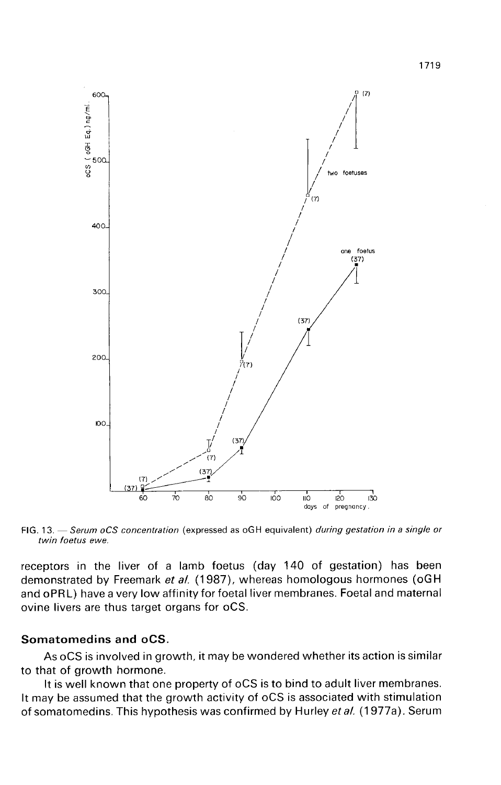

FIG. 13. - Serum oCS concentration (expressed as oGH equivalent) during gestation in a single or twin foetus ewe.

receptors in the liver of a lamb foetus (day 140 of gestation) has been demonstrated by Freemark et al. (1987), whereas homologous hormones (oGH and oPRL) have a very low affinity for foetal liver membranes. Foetal and maternal ovine livers are thus target organs for oCS.

## Somatomedins and oCS.

As oCS is involved in growth, it may be wondered whether its action is similar to that of growth hormone.

It is well known that one property of oCS is to bind to adult liver membranes. It may be assumed that the growth activity of oCS is associated with stimulation of somatomedins. This hypothesis was confirmed by Hurley et al. (1977a). Serum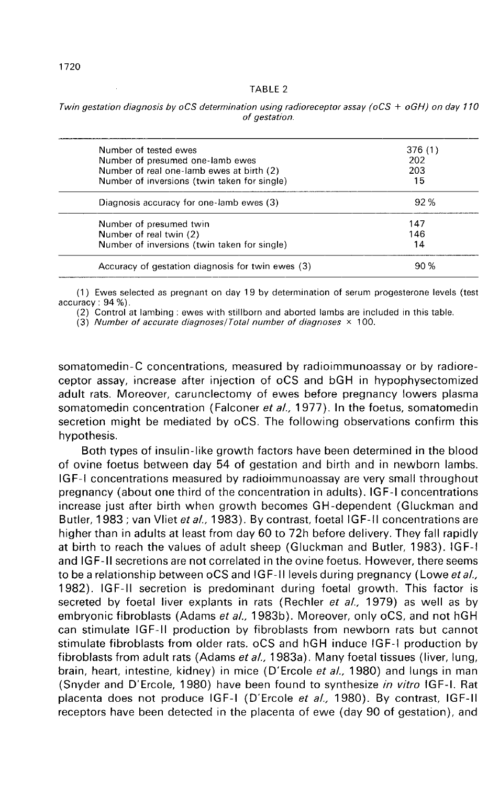|--|--|

| Twin gestation diagnosis by oCS determination using radioreceptor assay (oCS + oGH) on day 110 |  |
|------------------------------------------------------------------------------------------------|--|
| of gestation.                                                                                  |  |

| Number of tested ewes                             | 376(1)                                                                                                                        |
|---------------------------------------------------|-------------------------------------------------------------------------------------------------------------------------------|
|                                                   | 202                                                                                                                           |
|                                                   | 203                                                                                                                           |
|                                                   | 15                                                                                                                            |
| Diagnosis accuracy for one-lamb ewes (3)          | 92%                                                                                                                           |
| Number of presumed twin                           | 147                                                                                                                           |
| Number of real twin (2)                           | 146                                                                                                                           |
| Number of inversions (twin taken for single)      | 14                                                                                                                            |
| Accuracy of gestation diagnosis for twin ewes (3) | 90%                                                                                                                           |
|                                                   | Number of presumed one-lamb ewes<br>Number of real one-lamb ewes at birth (2)<br>Number of inversions (twin taken for single) |

(1) Ewes selected as pregnant on day 19 by determination of serum progesterone levels (test  $accuracy: 94 %$ .

(2) Control at lambing : ewes with stillborn and aborted lambs are included in this table.

(3) Number of accurate diagnoses/Total number of diagnoses  $\times$  100.

somatomedin-C concentrations, measured by radioimmunoassay or by radioreceptor assay, increase after injection of oCS and bGH in hypophysectomized adult rats. Moreover, carunclectomy of ewes before pregnancy lowers plasma somatomedin concentration (Falconer et al., 1977). In the foetus, somatomedin secretion might be mediated by oCS. The following observations confirm this hypothesis.

Both types of insulin-like growth factors have been determined in the blood of ovine foetus between day 54 of gestation and birth and in newborn lambs. IGF-I concentrations measured by radioimmunoassay are very small throughout pregnancy (about one third of the concentration in adults). IG F-I concentrations increase just after birth when growth becomes GH-dependent (Gluckman and Butler, 1983 ; van Vliet et al., 1983). By contrast, foetal IGF-II concentrations are higher than in adults at least from day 60 to 72h before delivery. They fall rapidly at birth to reach the values of adult sheep (Gluckman and Butler, 1983). IGF-I and IG F-I secretions are not correlated in the ovine foetus. However, there seems to be a relationship between oCS and IGF-II levels during pregnancy (Lowe et al., 1982). IGF-11 secretion is predominant during foetal growth. This factor is secreted by foetal liver explants in rats (Rechler et al., 1979) as well as by embryonic fibroblasts (Adams et al., 1983b). Moreover, only oCS, and not hGH can stimulate IGF-11 production by fibroblasts from newborn rats but cannot stimulate fibroblasts from older rats. oCS and hGH induce IGF-I production by fibroblasts from adult rats (Adams et al., 1983a). Many foetal tissues (liver, lung, brain, heart, intestine, kidney) in mice (D'Ercole et al., 1980) and lungs in man (Snyder and D'Ercole, 1980) have been found to synthesize in vitro IGF-I. Rat placenta does not produce IGF-I (D'Ercole et al., 1980). By contrast, IGF-II receptors have been detected in the placenta of ewe (day 90 of gestation), and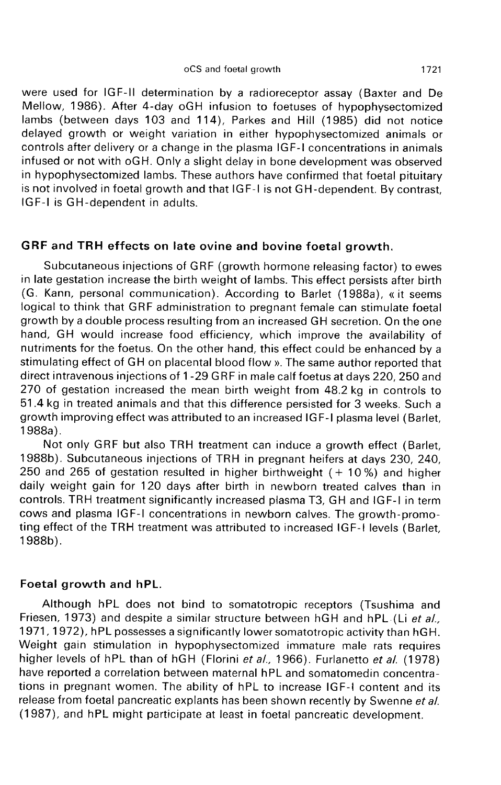#### oCS and foetal growth

were used for IGF-II determination by a radioreceptor assay (Baxter and De Mellow, 1986). After 4-day oGH infusion to foetuses of hypophysectomized lambs (between days 103 and 114), Parkes and Hill (1985) did not notice delayed growth or weight variation in either hypophysectomized animals or controls after delivery or a change in the plasma IGF-I concentrations in animals infused or not with oGH. Only a slight delay in bone development was observed in hypophysectomized lambs. These authors have confirmed that foetal pituitary is not involved in foetal growth and that IGF-I is not GH-dependent. By contrast, IGF-I is GH-dependent in adults.

## GRF and TRH effects on late ovine and bovine foetal growth.

Subcutaneous injections of GRF (growth hormone releasing factor) to ewes in late gestation increase the birth weight of lambs. This effect persists after birth (G. Kann, personal communication). According to Barlet (1988a), « it seems logical to think that GRF administration to pregnant female can stimulate foetal growth by a double process resulting from an increased GH secretion. On the one hand, GH would increase food efficiency, which improve the availability of nutriments for the foetus. On the other hand, this effect could be enhanced by a stimulating effect of GH on placental blood flow ». The same author reported that direct intravenous injections of 1-29 GRF in male calf foetus at days 220, 250 and 270 of gestation increased the mean birth weight from 48.2 kg in controls to 51.4 kg in treated animals and that this difference persisted for 3 weeks. Such a growth improving effect was attributed to an increased IG F-I plasma level (Barlet, 1988a).

Not only GRF but also TRH treatment can induce a growth effect (Barlet, 1988b). Subcutaneous injections of TRH in pregnant heifers at days 230, 240, 250 and 265 of gestation resulted in higher birthweight  $(+ 10\%)$  and higher daily weight gain for 120 days after birth in newborn treated calves than in controls. TRH treatment significantly increased plasma T3, GH and IGF-I in term cows and plasma IGF-I concentrations in newborn calves. The growth-promoting effect of the TRH treatment was attributed to increased IGF-I levels (Barlet, 1988b).

## Foetal growth and hPL.

Although hPL does not bind to somatotropic receptors (Tsushima and Friesen, 1973) and despite a similar structure between hGH and hPL (Li et al., 1971,1972), hPL possesses a significantly lower somatotropic activity than hGH. Weight gain stimulation in hypophysectomized immature male rats requires higher levels of hPL than of hGH (Florini et al., 1966). Furlanetto et al. (1978) have reported a correlation between maternal hPL and somatomedin concentrations in pregnant women. The ability of hPL to increase IGF-I content and its release from foetal pancreatic explants has been shown recently by Swenne et al. (1987), and hPL might participate at least in foetal pancreatic development.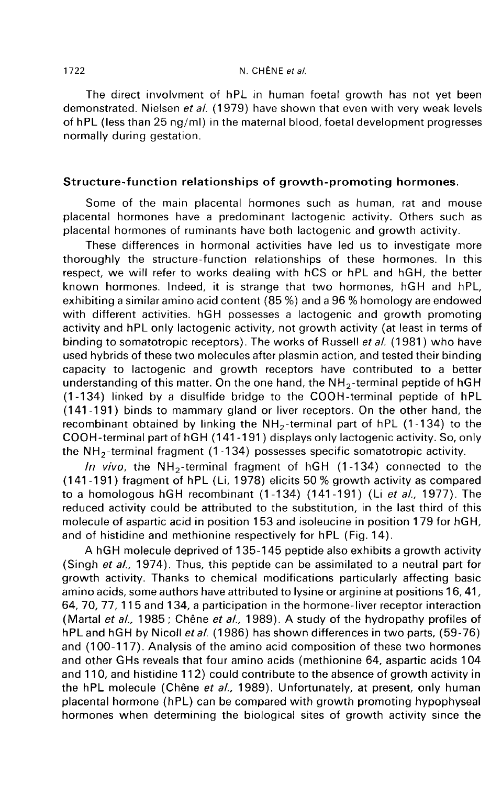### N. CHÊNE et al.

The direct involvment of hPL in human foetal growth has not yet been demonstrated. Nielsen et al. (1979) have shown that even with very weak levels of hPL (less than 25 ng/ml) in the maternal blood, foetal development progresses normally during gestation.

## Structure-function relationships of growth-promoting hormones.

Some of the main placental hormones such as human, rat and mouse placental hormones have a predominant lactogenic activity. Others such as placental hormones of ruminants have both lactogenic and growth activity.

These differences in hormonal activities have led us to investigate more thoroughly the structure-function relationships of these hormones. In this respect, we will refer to works dealing with hCS or hPL and hGH, the better known hormones. Indeed, it is strange that two hormones, hGH and hPL, exhibiting a similar amino acid content (85 %) and a 96 % homology are endowed with different activities. hGH possesses a lactogenic and growth promoting activity and hPL only lactogenic activity, not growth activity (at least in terms of binding to somatotropic receptors). The works of Russell et al. (1981) who have used hybrids of these two molecules after plasmin action, and tested their binding capacity to lactogenic and growth receptors have contributed to a better exhibiting a similar amino acid content (85 %) and a 96 % homology are endowed<br>with different activities. hGH possesses a lactogenic and growth promoting<br>activity and hPL only lactogenic activity, not growth activity (at (1-134) linked by a disulfide bridge to the COOH-terminal peptide of hPL (141 -191 ) binds to mammary gland or liver receptors. On the other hand, the binding to somatotropic receptors). The works of Russell *et al.* (1981) who have<br>used hybrids of these two molecules after plasmin action, and tested their binding<br>capacity to lactogenic and growth receptors have contrib COOH-terminal part of hGH (141-191) displays only lactogenic activity. So, only the NH<sub>2</sub>-terminal fragment (1-134) possesses specific somatotropic activity. capacity to lactogenic and growth receptors have contributed to a be<br>understanding of this matter. On the one hand, the  $NH_2$ -terminal peptide of h<br>(1-134) linked by a disulfide bridge to the COOH-terminal peptide of h<br>(1 recombinant obtained by linking the  $NH_2$ -terminal part of hPL (1-134) to the COOH-terminal part of hGH (141-191) displays only lactogenic activity. So, only the  $NH_2$ -terminal fragment (1-134) possesses specific somatotr

to a homologous hGH recombinant  $(1-134)$   $(141-191)$  (Li et al., 1977). The reduced activity could be attributed to the substitution, in the last third of this molecule of aspartic acid in position 153 and isoleucine in position 179 for hGH, and of histidine and methionine respectively for hPL (Fig. 14).

A hGH molecule deprived of 135-145 peptide also exhibits a growth activity (Singh et al., 1974). Thus, this peptide can be assimilated to a neutral part for growth activity. Thanks to chemical modifications particularly affecting basic amino acids, some authors have attributed to lysine or arginine at positions 16, 41, 64, 70, 77, 115 and 134, a participation in the hormone-liver receptor interaction (Martal et al., 1985; Chêne et al., 1989). A study of the hydropathy profiles of hPL and hGH by Nicoll et al. (1986) has shown differences in two parts, (59-76) and (100-117). Analysis of the amino acid composition of these two hormones and other GHs reveals that four amino acids (methionine 64, aspartic acids 104 and 110, and histidine 112) could contribute to the absence of growth activity in the hPL molecule (Chêne et al., 1989). Unfortunately, at present, only human placental hormone (hPL) can be compared with growth promoting hypophyseal hormones when determining the biological sites of growth activity since the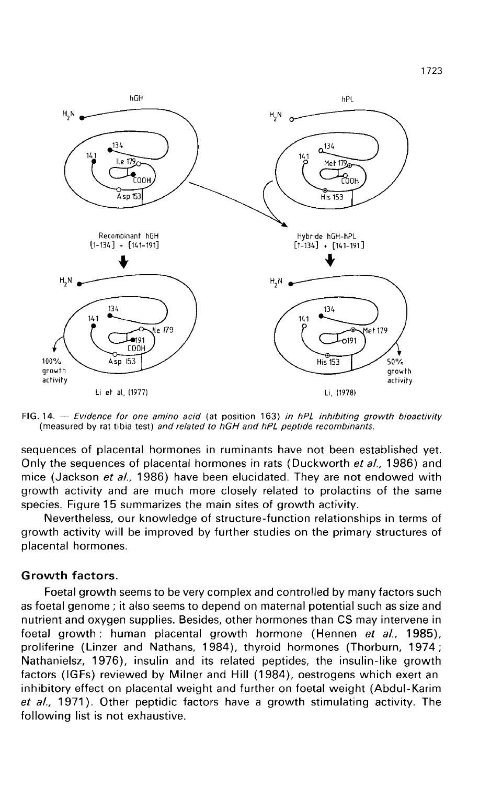

FIG. 14.  $-$  Evidence for one amino acid (at position 163) in hPL inhibiting growth bioactivity (measured by rat tibia test) and related to hGH and hPL peptide recombinants.

sequences of placental hormones in ruminants have not been established yet. Only the sequences of placental hormones in rats (Duckworth et al., 1986) and mice (Jackson et al., 1986) have been elucidated. They are not endowed with growth activity and are much more closely related to prolactins of the same species. Figure 15 summarizes the main sites of growth activity.

Nevertheless, our knowledge of structure-function relationships in terms of growth activity will be improved by further studies on the primary structures of placental hormones.

## Growth factors.

Foetal growth seems to be very complex and controlled by many factors such h as foetal genome ; it also seems to depend on maternal potential such as size and nutrient and oxygen supplies. Besides, other hormones than CS may intervene in foetal growth: human placental growth hormone (Hennen et al., 1985), proliferine (Linzer and Nathans, 1984), thyroid hormones (Thorburn, 1974;<br>Nathanielsz, 1976), insulin and its related peptides, the insulin-like growth<br>factors (IGFs) reviewed by Milner and Hill (1984), oestrogens which ex Nathanielsz, 1976), insulin and its related peptides, the insulin-like growth factors (IGFs) reviewed by Milner and Hill (1984), oestrogens which exert an inhibitory effect on placental weight and further on foetal weight (Abdul-Karim et  $al$ , 1971). Other peptidic factors have a growth stimulating activity. The following list is not exhaustive.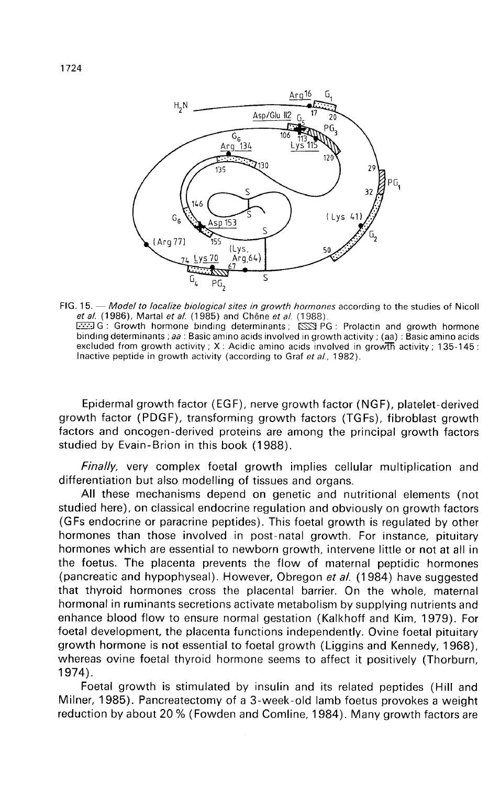

FIG. 15. - Model to localize biological sites in growth hormones according to the studies of Nicoll et al. (1986), Martal et al. (1985) and Chêne et al. (1988). G: Growth hormone binding determinants;  $\overline{SNR}$  PG: Prolactin and growth hormone binding determinants; aa: Basic amino acids involved in growth activity; (aa): Basic amino acids excluded from growth activity; X: Acidic amino acids involved in growth activity; 135-145: Inactive peptide in growth activity (according to Graf et al., 1982).

Epidermal growth factor (EGF), nerve growth factor (NGF), platelet-derived growth factor (PDGF), transforming growth factors (TGFs), fibroblast growth factors and oncogen-derived proteins are among the principal growth factors studied by Evain-Brion in this book (1988).

Finally, very complex foetal growth implies cellular multiplication and differentiation but also modelling of tissues and organs.

All these mechanisms depend on genetic and nutritional elements (not studied here), on classical endocrine regulation and obviously on growth factors (GFs endocrine or paracrine peptides). This foetal growth is regulated by other hormones than those involved in post-natal growth. For instance, pituitary hormones which are essential to newborn growth, intervene little or not at all in the foetus. The placenta prevents the flow of maternal peptidic hormones (pancreatic and hypophyseal). However, Obregon et al. (1984) have suggested that thyroid hormones cross the placental barrier. On the whole, maternal hormonal in ruminants secretions activate metabolism by supplying nutrients and enhance blood flow to ensure normal gestation (Kalkhoff and Kim, 1979). For foetal development, the placenta functions independently. Ovine foetal pituitary growth hormone is not essential to foetal growth (Liggins and Kennedy, 1968), whereas ovine foetal thyroid hormone seems to affect it positively (Thorburn, 1974).

Foetal growth is stimulated by insulin and its related peptides (Hill and Milner, 1985). Pancreatectomy of a 3-week-old lamb foetus provokes a weight reduction by about 20 % (Fowden and Comline, 1984). Many growth factors are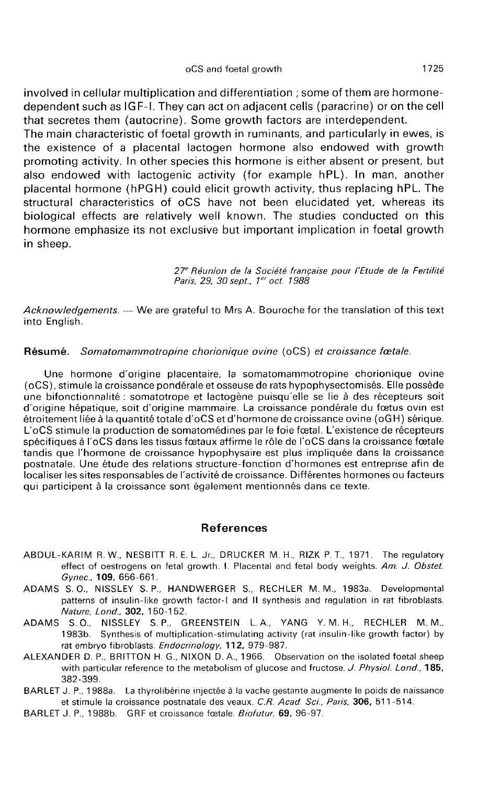involved in cellular multiplication and differentiation ; some of them are hormonedependent such as IG F-I. They can act on adjacent cells (paracrine) or on the cell that secretes them (autocrine). Some growth factors are interdependent.

The main characteristic of foetal growth in ruminants, and particularly in ewes, is the existence of a placental lactogen hormone also endowed with growth promoting activity. In other species this hormone is either absent or present, but also endowed with lactogenic activity (for example hPL). In man, another placental hormone (hPGH) could elicit growth activity, thus replacing hPL. The structural characteristics of oCS have not been elucidated yet, whereas its biological effects are relatively well known. The studies conducted on this hormone emphasize its not exclusive but important implication in foetal growth in sheep.

> 27<sup>e</sup> Réunion de la Société française pour l'Etude de la Fertilité Paris, 29, 30 sept., 1<sup>er</sup> oct. 1988

 $Acknowledgements. - We are grateful to Mrs A. Bource for the translation of this text$ into English.

### Résumé. Somatomammotropine chorionique ovine (oCS) et croissance foetale.

Une hormone d'origine placentaire, la somatomammotropine chorionique ovine (oCS), stimule la croissance pondérale et osseuse de rats hypophysectomisés. Elle possède une bifonctionnalité : somatotrope et lactogène puisqu'elle se lie à des récepteurs soit d'origine hépatique, soit d'origine mammaire. La croissance pondérale du foetus ovin est étroitement liée à la quantité totale d'oCS et d'hormone de croissance ovine (oGH) sérique. L'oCS stimule la production de somatomédines par le foie foetal. L'existence de récepteurs spécifiques à l'oCS dans les tissus foetaux affirme le rôle de l'oCS dans la croissance foetale tandis que l'hormone de croissance hypophysaire est plus impliquée dans la croissance postnatale. Une étude des relations structure-fonction d'hormones est entreprise afin de localiser les sites responsables de l'activité de croissance. Différentes hormones ou facteurs qui participent à la croissance sont également mentionnés dans ce texte.

## References

- ABDUL-KARIM R. W., NESBITT R. E. L. Jr., DRUCKER M. H., RIZK P. T., 1971. The regulatory effect of oestrogens on fetal growth. I. Placental and fetal body weights. Am. J. Obstet. Gynec., 109, 656-661.
- ADAMS S. 0., NISSLEY S. P., HANDWERGER S., RECHLER M. M., 1983a. Developmental patterns of insulin-like growth factor-I and II synthesis and regulation in rat fibroblasts. Nature, Lond., 302, 150-152.
- ADAMS S.O., NISSLEY S. P., GREENSTEIN L. A., YANG Y. M. H., RECHLER M.M., 1983b. Synthesis of multiplication-stimulating activity (rat insulin-like growth factor) by rat embryo fibroblasts. Endocrinology, 112, 979-987.
- ALEXANDER D. P., BRITTON H. G., NIXON D. A., 1966. Observation on the isolated foetal sheep with particular reference to the metabolism of glucose and fructose. J. Physiol. Lond., 185, 382-399.
- BARLET J. P., 1988a. La thyrolibérine injectee à la vache gestante augmente le poids de naissance et stimule la croissance postnatale des veaux. C.R. Acad. Sci., Paris, 306, 511 -514.
- BARLET J. P., 1988b. GRF et croissance fœtale. Biofutur, 69, 96-97.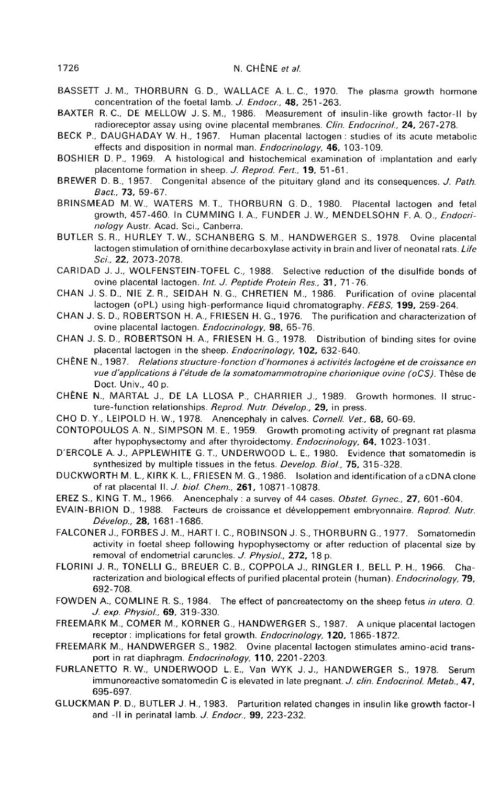- BASSETT J. M., THORBURN G. D., WALLACE A. L. C., 1970. The plasma growth hormone concentration of the foetal lamb. J. Endocr., 48, 251 -263. BASSETT J. M., THORBURN G. D., WALLACE A. L. C., 1970. The plasma growth hormone<br>concentration of the foetal lamb. J. Endocr., 48, 251-263.<br>BAXTER R. C., DE MELLOW J. S. M., 1986. Measurement of insulin-like growth factor-
- radioreceptor assay using ovine placental membranes. Clin. Endocrinol., 24, 267-278.
- BECK P., DAUGHADAY W. H., 1967. Human placental lactogen : studies of its acute metabolic effects and disposition in normal man. Endocrinology, 46, 103-109.
- BOSHIER D. P., 1969. A histological and histochemical examination of implantation and early placentome formation in sheep. J. Reprod. Fert., 19, 51-61.
- BREWER D. B., 1957. Congenital absence of the pituitary gland and its consequences. J. Path. Bact., 73, 59-67.
- BRINSMEAD M. W., WATERS M. T., THORBURN G. D., 1980. Placental lactogen and fetal growth, 457-460. In CUMMING I. A., FUNDER J. W., MENDELSOHN F. A. O., Endocrinology Austr. Acad. Sci., Canberra.
- BUTLER S. R., HURLEY T. W., SCHANBERG S. M., HANDWERGER S., 1978. Ovine placental lactogen stimulation of ornithine decarboxylase activity in brain and liver of neonatal rats. Life Sci., 22, 2073-2078.
- CARIDAD J. J., WOLFENSTEIN-TOFEL C., 1988. Selective reduction of the disulfide bonds of ovine placental lactogen. Int. J. Peptide Protein Res., 31, 71-76.
- CHAN J. S. D., NIE Z. R., SEIDAH N. G., CHRETIEN M., 1986. Purification of ovine placental lactogen (oPL) using high-performance liquid chromatography. FEBS, 199, 259-264.
- CHAN J. S. D., ROBERTSON H. A., FRIESEN H. G., 1976. The purification and characterization of ovine placental lactogen. Endocrinology, 98, 65-76.
- CHAN J. S. D., ROBERTSON H. A., FRIESEN H. G., 1978. Distribution of binding sites for ovine placental lactogen in the sheep. Endocrinology, 102, 632-640.
- CHÊNE N., 1987. Relations structure-fonction d'hormones à activités lactogène et de croissance en vue d'applications à l'étude de la somatomammotropine chorionique ovine (oCS). Thèse de Doct. Univ., 40 p.
- CHENE N., MARTAL J., DE LA LLOSA P., CHARRIER J., 1989. Growth hormones. II structure-function relationships. Reprod. Nutr. Dévelop., 29, in press.
- CHO D. Y., LEIPOLD H. W., 1978. Anencephaly in calves. Cornell. Vet., 68, 60-69.
- CONTOPOULOS A. N., SIMPSON M. E., 1959. Growth promoting activity of pregnant rat plasma after hypophysectomy and after thyroidectomy. Endocrinology, 64, 1023-1031.
- D'ERCOLE A. J., APPLEWHITE G. T., UNDERWOOD L. E., 1980. Evidence that somatomedin is synthesized by multiple tissues in the fetus. Develop. Biol., 75, 315-328.
- DUCKWORTH M. L., KIRK K. L., FRIESEN M. G., 1986. Isolation and identification of a cDNA clone of rat placental II. J. biol. Chem., 261, 10871-10878.
- EREZ S., KING T. M., 1966. Anencephaly: a survey of 44 cases. Obstet. Gynec., 27, 601-604.
- EVAIN-BRION D., 1988. Facteurs de croissance et développement embryonnaire. Reprod. Nutr. Develop., 28, 1681-1686.
- FALCONER J., FORBES J. M., HART I. C., ROBINSON J. S., THORBURN G., 1977. Somatomedin activity in foetal sheep following hypophysectomy or after reduction of placental size by removal of endometrial caruncles. J. Physiol., 272, 18 p.
- FLORINI J. R., TONELLI G., BREUER C. B., COPPOLA J., RINGLER I., BELL P. H., 1966. Characterization and biological effects of purified placental protein (human). *Endocrinology*, **79**, 692-708.
- FOWDEN A., COMLINE R. S., 1984. The effect of pancreatectomy on the sheep fetus in utero. Q. J. exp. Physiol., 69, 319-330.
- FREEMARK M., COMER M., KORNER G., HANDWERGER S., 1987. A unique placental lactogen receptor: implications for fetal growth. Endocrinology, 120, 1865-1872. 692-708.<br>
692-708.<br>
A A., COMLINE R. S., 1984. The effect of pancreatect<br> *J. exp. Physiol.,* **69**, 319-330.<br>
RK M., COMER M., KORNER G., HANDWERGER S., 1<br>
receptor : implications for fetal growth. *Endocrinology,*<br>
RK M.,
- FREEMARK M., HANDWERGER S., 1982. Ovine placental lactogen stimulates amino-acid trans-<br>port in rat diaphragm. *Endocrinology*, **110**, 2201-2203.
- FURLANETTO R. W., UNDERWOOD L. E., Van WYK J. J., HANDWERGER S., 1978. Serum immunoreactive somatomedin C is elevated in late pregnant. J. clin. Endocrinol. Metab., 47, 695-697.
- GLUCKMAN P. D., BUTLER J. H., 1983. Parturition related changes in insulin like growth factor-I and -II in perinatal lamb. J. Endocr., 99, 223-232.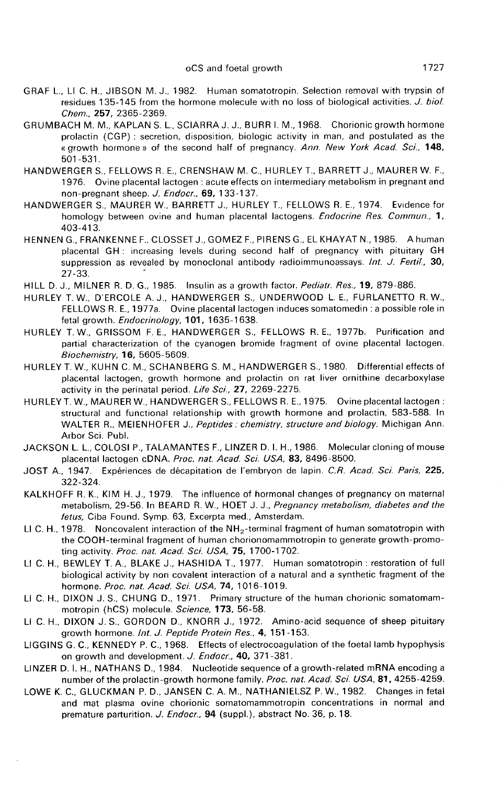- GRAF L., LI C. H., JIBSON M. J., 1982. Human somatotropin. Selection removal with trypsin of residues 135-145 from the hormone molecule with no loss of biological activities. J. biol. Chem., 257, 2365-2369.
- GRUMBACH M. M., KAPLAN S. L., SCIARRA J. J., BURR I. M., 1968. Chorionic growth hormone prolactin (CGP) : secretion, disposition, biologic activity in man, and postulated as the « growth hormone » of the second half of pregnancy. Ann. New York Acad. Sci., 148, 501-531.
- HANDWERGER S., FELLOWS R. E., CRENSHAW M. C., HURLEY T., BARRETT J., MAURER W. F., 1976. Ovine placental lactogen : acute effects on intermediary metabolism in pregnant and non-pregnant sheep. J. Endocr., 69, 133-137.
- HANDWERGER S., MAURER W., BARRETT J., HURLEY T., FELLOWS R. E., 1974. Evidence for homology between ovine and human placental lactogens. Endocrine Res. Commun., 1, 403-413.
- HENNEN G., FRANKENNE F., CLOSSETJ., GOMEZ F., PIRENS G., EL KHAYAT N., 1985. A human placental GH : increasing levels during second half of pregnancy with pituitary GH suppression as revealed by monoclonal antibody radioimmunoassays. Int. J. Fertil., 30, 27-33. '
- HILL D. J., MILNER R. D. G., 1985. Insulin as a growth factor. Pediatr. Res., 19, 879-886.
- HURLEY T. W., D'ERCOLE A. J., HANDWERGER S., UNDERWOOD L. E., FURLANETTO R. W., FELLOWS R. E., 1977a. Ovine placental lactogen induces somatomedin : a possible role in fetal growth. Endocrinology, 101, 1635-1638.
- HURLEY T. W., GRISSOM F. E., HANDWERGER S., FELLOWS R. E., 1977b. Purification and partial characterization of the cyanogen bromide fragment of ovine placental lactogen. Biochemistry, 16, 5605-5609.
- HURLEY T. W., KUHN C. M., SCHANBERG S. M., HANDWERGER S., 1980. Differential effects of placental lactogen, growth hormone and prolactin on rat liver ornithine decarboxylase activity in the perinatal period. Life Sci., 27, 2269-2275.
- HURLEYT. W., MAURER W., HANDWERGER S., FELLOWS R. E., 1975. Ovine placental lactogen : structural and functional relationship with growth hormone and prolactin, 583-588. In WALTER R., MEIENHOFER J., Peptides: chemistry, structure and biology. Michigan Ann. Arbor Sci. Publ.
- JACKSON L. L., COLOSI P., TALAMANTES F., LINZER D. I. H., 1986. Molecular cloning of mouse placental lactogen cDNA. Proc. nat. Acad. Sci. USA, 83, 8496-8500.
- JOST A., 1947. Expériences de décapitation de l'embryon de lapin. C.R. Acad. Sci. Paris, 225, 322-324.
- KALKHOFF R. K., KIM H. J., 1979. The influence of hormonal changes of pregnancy on maternal metabolism, 29-56. In BEARD R. W., HOET J. J., Pregnancy metabolism, diabetes and the fetus, Ciba Found. Symp. 63, Excerpta med., Amsterdam. LI C. H., 1978. Noncovalent interaction of the NH<sub>2</sub>-terminal fragment of human somatotropin with<br>the NLX-terminal metabolism, 29-56. In BEARD R. W., HOET J. J., *Pregnancy metabolism, diabetes and the<br>fetus, Ciba Found. S*
- ting activity. Proc. nat. Acad. Sci. USA, 75, 1700-1702.
- LI C. H., BEWLEY T. A., BLAKE J., HASHIDA T., 1977. Human somatotropin : restoration of full biological activity by non covalent interaction of a natural and a synthetic fragment of the hormone. Proc. nat. Acad. Sci. USA, 74, 1016-1019.
- Li C. H., DIXON J. S., CHUNG D., 1971. Primary structure of the human chorionic somatomammotropin (hCS) molecule. Science, 173, 56-58.
- Li C. H., DIXON J. S., GORDON D., KNORR J., 1972. Amino-acid sequence of sheep pituitary growth hormone. Int. J. Peptide Protein Res., 4, 151-153.
- LIGGINS G. C., KENNEDY P. C., 1968. Effects of electrocoagulation of the foetal lamb hypophysis on growth and development. J. Endocr., 40, 371-381.
- LINZER D. I. H., NATHANS D., 1984. Nucleotide sequence of a growth-related mRNA encoding a number of the prolactin-growth hormone family. Proc. nat. Acad. Sci. USA, 81, 4255-4259.
- LOWE K. C., GLUCKMAN P. D., JANSEN C. A. M., NATHANIELSZ P. W., 1982. Changes in fetal and mat plasma ovine chorionic somatomammotropin concentrations in normal and premature parturition. J. Endocr., 94 (suppl.), abstract No. 36, p. 18.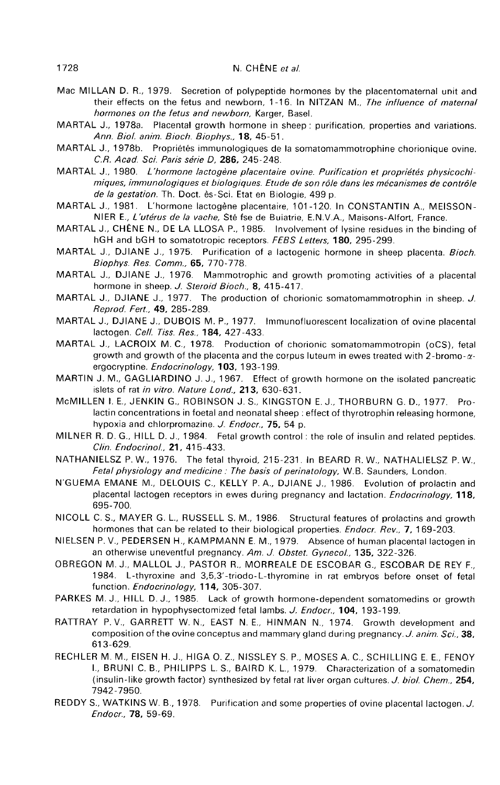- Mac MILLAN D. R., 1979. Secretion of polypeptide hormones by the placentomaternal unit and their effects on the fetus and newborn, 1-16. In NITZAN M., The influence of maternal hormones on the fetus and newborn, Karger, Basel.
- MARTAL J., 1978a. Placental growth hormone in sheep : purification, properties and variations. Ann. Biol. anim. Bioch. Biophys., 18, 45-51.
- MARTAL J., 1978b. Propriétés immunologiques de la somatomammotrophine chorionique ovine. C.R. Acad. Sci. Paris série D, 286, 245-248.
- MARTAL J., 1980. L'hormone lactogène placentaire ovine. Purification et propriétés physicochimiques, immunologiques et biologiques. Etude de son rôle dans les mecanismes de contrôle de la gestation. Th. Doct. ès-Sci. Etat en Biologie, 499 p.
- MARTAL J., 1981. L'hormone lactogène placentaire, 101-120. In CONSTANTIN A., MEISSON-NIER E., L'utérus de la vache, Sté fse de Buiatrie, E.N.V.A., Maisons-Alfort, France.
- MARTAL J., CHENE N., DE LA LLOSA P., 1985. Involvement of lysine residues in the binding of hGH and bGH to somatotropic receptors. FEBS Letters, 180, 295-299.
- MARTAL J., DJIANE J., 1975. Purification of a lactogenic hormone in sheep placenta. Bioch. Biophys. Res. Comm., 65, 770-778.
- MARTAL J., DJIANE J., 1976. Mammotrophic and growth promoting activities of a placental hormone in sheep. J. Steroid Bioch., 8, 415-417.
- MARTAL J., DJIANE J., 1977. The production of chorionic somatomammotrophin in sheep. J. Reprod. Fert., 49, 285-289.
- MARTAL J., DJIANE J., DUBOIS M. P., 1977. Immunofluorescent localization of ovine placental lactogen. Cell. Tiss. Res., 184, 427-433.
- MARTAL J., LACROIX M. C., 1978. Production of chorionic somatomammotropin (oCS), fetal growth and growth of the placenta and the corpus luteum in ewes treated with 2-bromo- $\alpha$ ergocryptine. Endocrinology, 103, 193-199.
- MARTIN J. M., GAGLIARDINO J. J., 1967. Effect of growth hormone on the isolated pancreatic islets of rat in vitro. Nature Lond., 213, 630-631.
- McMILLEN I. E., JENKIN G., ROBINSON J. S., KINGSTON E. J., THORBURN G. D., 1977. Prolactin concentrations in foetal and neonatal sheep : effect of thyrotrophin releasing hormone, hypoxia and chlorpromazine. J. Endocr., 75, 54 p.
- MILNER R. D. G., HILL D. J., 1984. Fetal growth control : the role of insulin and related peptides. Clin. Endocrinol., 21, 415-433.
- NATHANIELSZ P. W., 1976. The fetal thyroid, 215-231. In BEARD R. W., NATHALIELSZ P. W., Fetal physiology and medicine : The basis of perinatology, W.B. Saunders, London.
- N'GUEMA EMANE M., DELOUIS C., KELLY P. A., DJIANE J., 1986. Evolution of prolactin and placental lactogen receptors in ewes during pregnancy and lactation. Endocrinology, 118, 695-700.
- NICOLL C. S., MAYER G. L., RUSSELL S. M., 1986. Structural features of prolactins and growth hormones that can be related to their biological properties. *Endocr. Rev.*, **7**, 169-203.
- NIELSEN P. V., PEDERSEN H., KAMPMANN E. M., 1979. Absence of human placental lactogen in an otherwise uneventful pregnancy. Am. J. Obstet. Gynecol., 135, 322-326.
- OBREGON M. J., MALLOL J., PASTOR R., MORREALE DE ESCOBAR G., ESCOBAR DE REY F., 1984. L-thyroxine and 3,5,3'-triodo-L-thyromine in rat embryos before onset of fetal function. Endocrinology, 114, 305-307.
- PARKES M. J., HILL D. J., 1985. Lack of growth hormone-dependent somatomedins or growth retardation in hypophysectomized fetal lambs. J. Endocr., 104, 193-199.
- RATTRAY P. V., GARRETT W. N., EAST N. E., HINMAN N., 1974. Growth development and composition of the ovine conceptus and mammary gland during pregnancy. J. anim. Sci., 38, 613-629.
- RECHLER M. M., EISEN H. J., HIGA 0. Z., NISSLEY S. P., MOSES A. C., SCHILLING E. E., FENOY I., BRUNI C. B., PHILIPPS L. S., BAIRD K. L., 1979. Characterization of a somatomedin (insulin-like growth factor) synthesized by fetal rat liver organ cultures. J. biol. Chem., 254, 7942-7950.
- REDDY S., WATKINS W. B., 1978. Purification and some properties of ovine placental lactogen. J. Endocr., 78, 59-69.